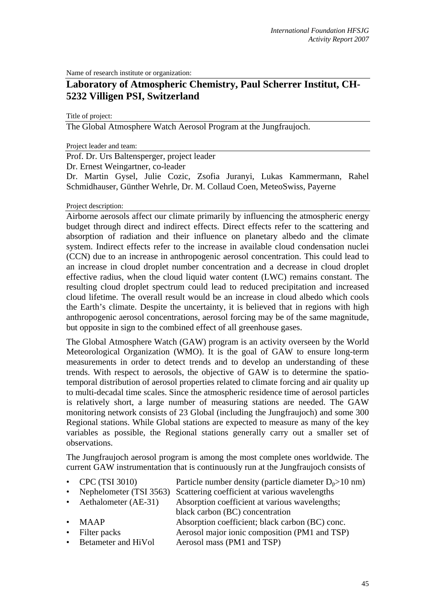Name of research institute or organization:

# **Laboratory of Atmospheric Chemistry, Paul Scherrer Institut, CH-5232 Villigen PSI, Switzerland**

Title of project:

The Global Atmosphere Watch Aerosol Program at the Jungfraujoch.

Project leader and team:

Prof. Dr. Urs Baltensperger, project leader

Dr. Ernest Weingartner, co-leader

Dr. Martin Gysel, Julie Cozic, Zsofia Juranyi, Lukas Kammermann, Rahel Schmidhauser, Günther Wehrle, Dr. M. Collaud Coen, MeteoSwiss, Payerne

### Project description:

Airborne aerosols affect our climate primarily by influencing the atmospheric energy budget through direct and indirect effects. Direct effects refer to the scattering and absorption of radiation and their influence on planetary albedo and the climate system. Indirect effects refer to the increase in available cloud condensation nuclei (CCN) due to an increase in anthropogenic aerosol concentration. This could lead to an increase in cloud droplet number concentration and a decrease in cloud droplet effective radius, when the cloud liquid water content (LWC) remains constant. The resulting cloud droplet spectrum could lead to reduced precipitation and increased cloud lifetime. The overall result would be an increase in cloud albedo which cools the Earth's climate. Despite the uncertainty, it is believed that in regions with high anthropogenic aerosol concentrations, aerosol forcing may be of the same magnitude, but opposite in sign to the combined effect of all greenhouse gases.

The Global Atmosphere Watch (GAW) program is an activity overseen by the World Meteorological Organization (WMO). It is the goal of GAW to ensure long-term measurements in order to detect trends and to develop an understanding of these trends. With respect to aerosols, the objective of GAW is to determine the spatiotemporal distribution of aerosol properties related to climate forcing and air quality up to multi-decadal time scales. Since the atmospheric residence time of aerosol particles is relatively short, a large number of measuring stations are needed. The GAW monitoring network consists of 23 Global (including the Jungfraujoch) and some 300 Regional stations. While Global stations are expected to measure as many of the key variables as possible, the Regional stations generally carry out a smaller set of observations.

The Jungfraujoch aerosol program is among the most complete ones worldwide. The current GAW instrumentation that is continuously run at the Jungfraujoch consists of

- CPC (TSI 3010) Particle number density (particle diameter  $D_p > 10$  nm)
	- Nephelometer (TSI 3563) Scattering coefficient at various wavelengths
- Aethalometer (AE-31) Absorption coefficient at various wavelengths:
	- black carbon (BC) concentration
- MAAP Absorption coefficient; black carbon (BC) conc.
- Filter packs Aerosol major ionic composition (PM1 and TSP)
- Betameter and HiVol Aerosol mass (PM1 and TSP)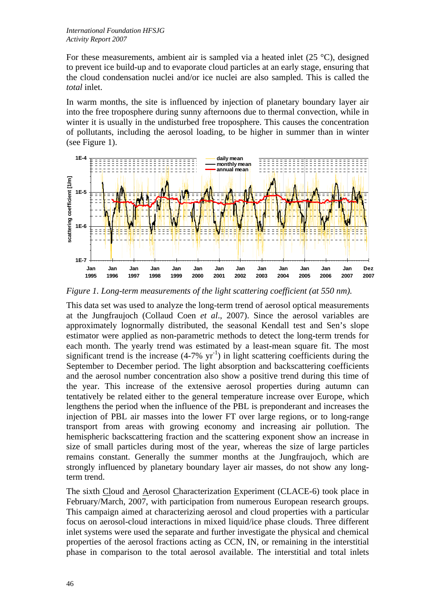For these measurements, ambient air is sampled via a heated inlet (25 °C), designed to prevent ice build-up and to evaporate cloud particles at an early stage, ensuring that the cloud condensation nuclei and/or ice nuclei are also sampled. This is called the *total* inlet.

In warm months, the site is influenced by injection of planetary boundary layer air into the free troposphere during sunny afternoons due to thermal convection, while in winter it is usually in the undisturbed free troposphere. This causes the concentration of pollutants, including the aerosol loading, to be higher in summer than in winter (see Figure 1).



*Figure 1. Long-term measurements of the light scattering coefficient (at 550 nm).* 

This data set was used to analyze the long-term trend of aerosol optical measurements at the Jungfraujoch (Collaud Coen *et al*., 2007). Since the aerosol variables are approximately lognormally distributed, the seasonal Kendall test and Sen's slope estimator were applied as non-parametric methods to detect the long-term trends for each month. The yearly trend was estimated by a least-mean square fit. The most significant trend is the increase  $(4-7\% \text{ yr}^{-1})$  in light scattering coefficients during the September to December period. The light absorption and backscattering coefficients and the aerosol number concentration also show a positive trend during this time of the year. This increase of the extensive aerosol properties during autumn can tentatively be related either to the general temperature increase over Europe, which lengthens the period when the influence of the PBL is preponderant and increases the injection of PBL air masses into the lower FT over large regions, or to long-range transport from areas with growing economy and increasing air pollution. The hemispheric backscattering fraction and the scattering exponent show an increase in size of small particles during most of the year, whereas the size of large particles remains constant. Generally the summer months at the Jungfraujoch, which are strongly influenced by planetary boundary layer air masses, do not show any longterm trend.

The sixth Cloud and Aerosol Characterization Experiment (CLACE-6) took place in February/March, 2007, with participation from numerous European research groups. This campaign aimed at characterizing aerosol and cloud properties with a particular focus on aerosol-cloud interactions in mixed liquid/ice phase clouds. Three different inlet systems were used the separate and further investigate the physical and chemical properties of the aerosol fractions acting as CCN, IN, or remaining in the interstitial phase in comparison to the total aerosol available. The interstitial and total inlets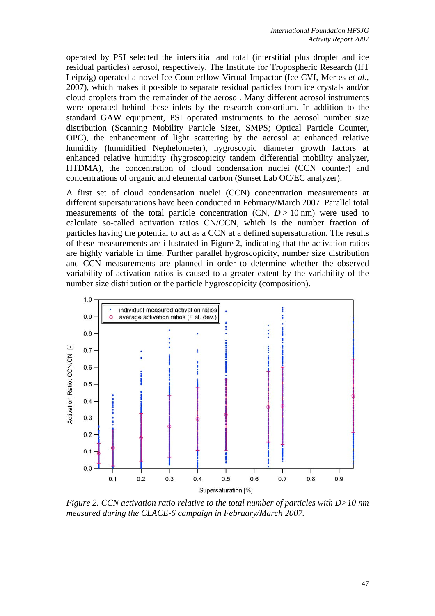operated by PSI selected the interstitial and total (interstitial plus droplet and ice residual particles) aerosol, respectively. The Institute for Tropospheric Research (IfT Leipzig) operated a novel Ice Counterflow Virtual Impactor (Ice-CVI, Mertes *et al*., 2007), which makes it possible to separate residual particles from ice crystals and/or cloud droplets from the remainder of the aerosol. Many different aerosol instruments were operated behind these inlets by the research consortium. In addition to the standard GAW equipment, PSI operated instruments to the aerosol number size distribution (Scanning Mobility Particle Sizer, SMPS; Optical Particle Counter, OPC), the enhancement of light scattering by the aerosol at enhanced relative humidity (humidified Nephelometer), hygroscopic diameter growth factors at enhanced relative humidity (hygroscopicity tandem differential mobility analyzer, HTDMA), the concentration of cloud condensation nuclei (CCN counter) and concentrations of organic and elemental carbon (Sunset Lab OC/EC analyzer).

A first set of cloud condensation nuclei (CCN) concentration measurements at different supersaturations have been conducted in February/March 2007. Parallel total measurements of the total particle concentration  $(CN, D > 10 \text{ nm})$  were used to calculate so-called activation ratios CN/CCN, which is the number fraction of particles having the potential to act as a CCN at a defined supersaturation. The results of these measurements are illustrated in Figure 2, indicating that the activation ratios are highly variable in time. Further parallel hygroscopicity, number size distribution and CCN measurements are planned in order to determine whether the observed variability of activation ratios is caused to a greater extent by the variability of the number size distribution or the particle hygroscopicity (composition).



*Figure 2. CCN activation ratio relative to the total number of particles with D>10 nm measured during the CLACE-6 campaign in February/March 2007.*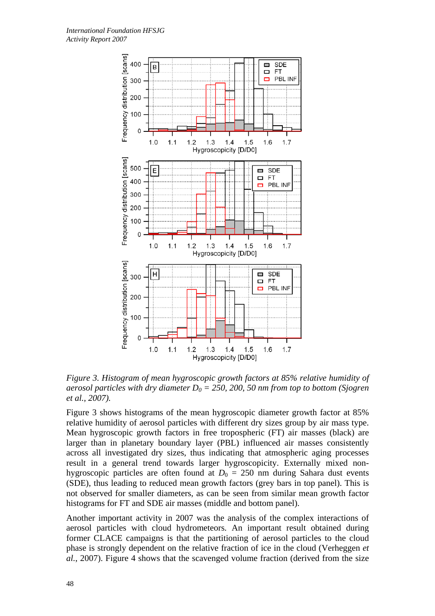

*Figure 3. Histogram of mean hygroscopic growth factors at 85% relative humidity of aerosol particles with dry diameter*  $D_0 = 250$ , 200, 50 nm from top to bottom (Sjogren) *et al., 2007).* 

Figure 3 shows histograms of the mean hygroscopic diameter growth factor at 85% relative humidity of aerosol particles with different dry sizes group by air mass type. Mean hygroscopic growth factors in free tropospheric (FT) air masses (black) are larger than in planetary boundary layer (PBL) influenced air masses consistently across all investigated dry sizes, thus indicating that atmospheric aging processes result in a general trend towards larger hygroscopicity. Externally mixed nonhygroscopic particles are often found at  $D_0 = 250$  nm during Sahara dust events (SDE), thus leading to reduced mean growth factors (grey bars in top panel). This is not observed for smaller diameters, as can be seen from similar mean growth factor histograms for FT and SDE air masses (middle and bottom panel).

Another important activity in 2007 was the analysis of the complex interactions of aerosol particles with cloud hydrometeors. An important result obtained during former CLACE campaigns is that the partitioning of aerosol particles to the cloud phase is strongly dependent on the relative fraction of ice in the cloud (Verheggen *et al.*, 2007). Figure 4 shows that the scavenged volume fraction (derived from the size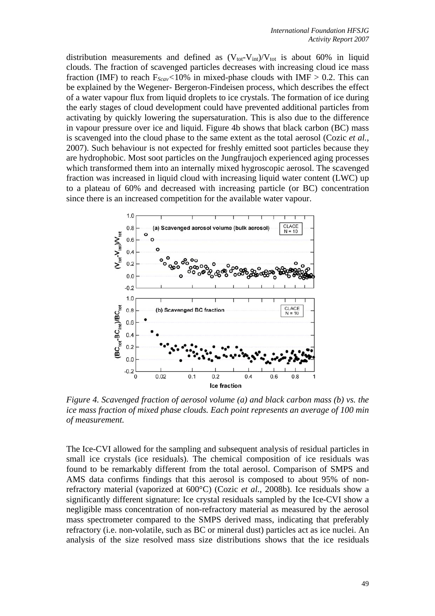distribution measurements and defined as  $(V_{tot}-V_{int})/V_{tot}$  is about 60% in liquid clouds. The fraction of scavenged particles decreases with increasing cloud ice mass fraction (IMF) to reach  $F_{Scav}$ <10% in mixed-phase clouds with IMF  $> 0.2$ . This can be explained by the Wegener- Bergeron-Findeisen process, which describes the effect of a water vapour flux from liquid droplets to ice crystals. The formation of ice during the early stages of cloud development could have prevented additional particles from activating by quickly lowering the supersaturation. This is also due to the difference in vapour pressure over ice and liquid. Figure 4b shows that black carbon (BC) mass is scavenged into the cloud phase to the same extent as the total aerosol (Cozic *et al.*, 2007). Such behaviour is not expected for freshly emitted soot particles because they are hydrophobic. Most soot particles on the Jungfraujoch experienced aging processes which transformed them into an internally mixed hygroscopic aerosol. The scavenged fraction was increased in liquid cloud with increasing liquid water content (LWC) up to a plateau of 60% and decreased with increasing particle (or BC) concentration since there is an increased competition for the available water vapour.



*Figure 4. Scavenged fraction of aerosol volume (a) and black carbon mass (b) vs. the ice mass fraction of mixed phase clouds. Each point represents an average of 100 min of measurement.* 

The Ice-CVI allowed for the sampling and subsequent analysis of residual particles in small ice crystals (ice residuals). The chemical composition of ice residuals was found to be remarkably different from the total aerosol. Comparison of SMPS and AMS data confirms findings that this aerosol is composed to about 95% of nonrefractory material (vaporized at 600°C) (Cozic *et al.*, 2008b). Ice residuals show a significantly different signature: Ice crystal residuals sampled by the Ice-CVI show a negligible mass concentration of non-refractory material as measured by the aerosol mass spectrometer compared to the SMPS derived mass, indicating that preferably refractory (i.e. non-volatile, such as BC or mineral dust) particles act as ice nuclei. An analysis of the size resolved mass size distributions shows that the ice residuals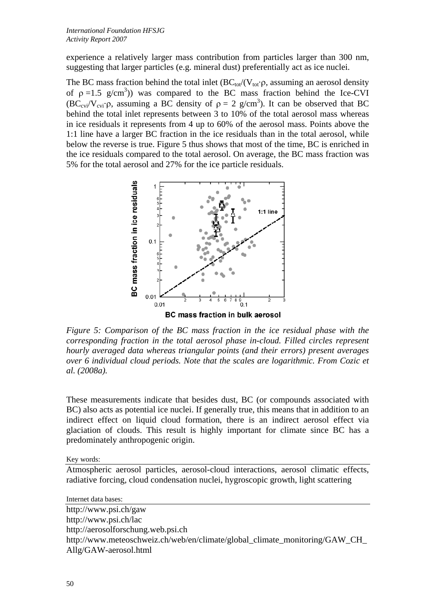experience a relatively larger mass contribution from particles larger than 300 nm, suggesting that larger particles (e.g. mineral dust) preferentially act as ice nuclei.

The BC mass fraction behind the total inlet  $(BC_{tot}/(V_{tot} \rho,$  assuming an aerosol density of  $p = 1.5$  g/cm<sup>3</sup>)) was compared to the BC mass fraction behind the Ice-CVI  $(BC_{\text{cvi}}/V_{\text{cvi}})$ , assuming a BC density of  $\rho = 2$  g/cm<sup>3</sup>). It can be observed that BC behind the total inlet represents between 3 to 10% of the total aerosol mass whereas in ice residuals it represents from 4 up to 60% of the aerosol mass. Points above the 1:1 line have a larger BC fraction in the ice residuals than in the total aerosol, while below the reverse is true. Figure 5 thus shows that most of the time, BC is enriched in the ice residuals compared to the total aerosol. On average, the BC mass fraction was 5% for the total aerosol and 27% for the ice particle residuals.



*Figure 5: Comparison of the BC mass fraction in the ice residual phase with the corresponding fraction in the total aerosol phase in-cloud. Filled circles represent hourly averaged data whereas triangular points (and their errors) present averages over 6 individual cloud periods. Note that the scales are logarithmic. From Cozic et al. (2008a).* 

These measurements indicate that besides dust, BC (or compounds associated with BC) also acts as potential ice nuclei. If generally true, this means that in addition to an indirect effect on liquid cloud formation, there is an indirect aerosol effect via glaciation of clouds. This result is highly important for climate since BC has a predominately anthropogenic origin.

Key words:

Atmospheric aerosol particles, aerosol-cloud interactions, aerosol climatic effects, radiative forcing, cloud condensation nuclei, hygroscopic growth, light scattering

Internet data bases:

http://www.psi.ch/gaw http://www.psi.ch/lac http://aerosolforschung.web.psi.ch http://www.meteoschweiz.ch/web/en/climate/global\_climate\_monitoring/GAW\_CH\_ Allg/GAW-aerosol.html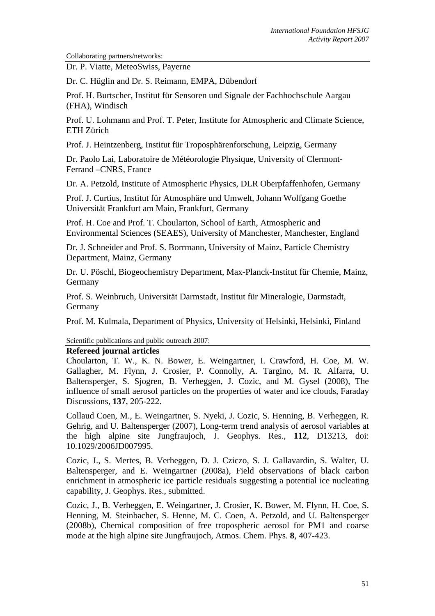Collaborating partners/networks:

Dr. P. Viatte, MeteoSwiss, Payerne

Dr. C. Hüglin and Dr. S. Reimann, EMPA, Dübendorf

Prof. H. Burtscher, Institut für Sensoren und Signale der Fachhochschule Aargau (FHA), Windisch

Prof. U. Lohmann and Prof. T. Peter, Institute for Atmospheric and Climate Science, ETH Zürich

Prof. J. Heintzenberg, Institut für Troposphärenforschung, Leipzig, Germany

Dr. Paolo Lai, Laboratoire de Météorologie Physique, University of Clermont-Ferrand –CNRS, France

Dr. A. Petzold, Institute of Atmospheric Physics, DLR Oberpfaffenhofen, Germany

Prof. J. Curtius, Institut für Atmosphäre und Umwelt, Johann Wolfgang Goethe Universität Frankfurt am Main, Frankfurt, Germany

Prof. H. Coe and Prof. T. Choularton, School of Earth, Atmospheric and Environmental Sciences (SEAES), University of Manchester, Manchester, England

Dr. J. Schneider and Prof. S. Borrmann, University of Mainz, Particle Chemistry Department, Mainz, Germany

Dr. U. Pöschl, Biogeochemistry Department, Max-Planck-Institut für Chemie, Mainz, Germany

Prof. S. Weinbruch, Universität Darmstadt, Institut für Mineralogie, Darmstadt, Germany

Prof. M. Kulmala, Department of Physics, University of Helsinki, Helsinki, Finland

Scientific publications and public outreach 2007:

### **Refereed journal articles**

Choularton, T. W., K. N. Bower, E. Weingartner, I. Crawford, H. Coe, M. W. Gallagher, M. Flynn, J. Crosier, P. Connolly, A. Targino, M. R. Alfarra, U. Baltensperger, S. Sjogren, B. Verheggen, J. Cozic, and M. Gysel (2008), The influence of small aerosol particles on the properties of water and ice clouds, Faraday Discussions, **137**, 205-222.

Collaud Coen, M., E. Weingartner, S. Nyeki, J. Cozic, S. Henning, B. Verheggen, R. Gehrig, and U. Baltensperger (2007), Long-term trend analysis of aerosol variables at the high alpine site Jungfraujoch, J. Geophys. Res., **112**, D13213, doi: 10.1029/2006JD007995.

Cozic, J., S. Mertes, B. Verheggen, D. J. Cziczo, S. J. Gallavardin, S. Walter, U. Baltensperger, and E. Weingartner (2008a), Field observations of black carbon enrichment in atmospheric ice particle residuals suggesting a potential ice nucleating capability, J. Geophys. Res., submitted.

Cozic, J., B. Verheggen, E. Weingartner, J. Crosier, K. Bower, M. Flynn, H. Coe, S. Henning, M. Steinbacher, S. Henne, M. C. Coen, A. Petzold, and U. Baltensperger (2008b), Chemical composition of free tropospheric aerosol for PM1 and coarse mode at the high alpine site Jungfraujoch, Atmos. Chem. Phys. **8**, 407-423.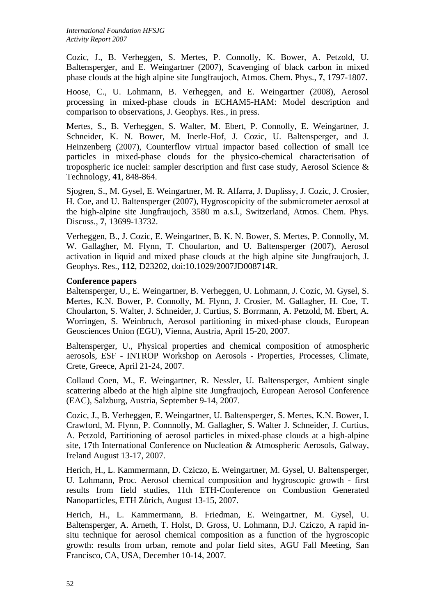Cozic, J., B. Verheggen, S. Mertes, P. Connolly, K. Bower, A. Petzold, U. Baltensperger, and E. Weingartner (2007), Scavenging of black carbon in mixed phase clouds at the high alpine site Jungfraujoch, At mos. Chem. Phys., **7**, 1797-1807.

Hoose, C., U. Lohmann, B. Verheggen, and E. Weingartner (2008), Aerosol processing in mixed-phase clouds in ECHAM5-HAM: Model description and comparison to observations, J. Geophys. Res., in press.

Mertes, S., B. Verheggen, S. Walter, M. Ebert, P. Connolly, E. Weingartner, J. Schneider, K. N. Bower, M. Inerle-Hof, J. Cozic, U. Baltensperger, and J. Heinzenberg (2007), Counterflow virtual impactor based collection of small ice particles in mixed-phase clouds for the physico-chemical characterisation of tropospheric ice nuclei: sampler description and first case study, Aerosol Science & Technology, **41**, 848-864.

Sjogren, S., M. Gysel, E. Weingartner, M. R. Alfarra, J. Duplissy, J. Cozic, J. Crosier, H. Coe, and U. Baltensperger (2007), Hygroscopicity of the submicrometer aerosol at the high-alpine site Jungfraujoch, 3580 m a.s.l., Switzerland, Atmos. Chem. Phys. Discuss., **7**, 13699-13732.

Verheggen, B., J. Cozic, E. Weingartner, B. K. N. Bower, S. Mertes, P. Connolly, M. W. Gallagher, M. Flynn, T. Choularton, and U. Baltensperger (2007), Aerosol activation in liquid and mixed phase clouds at the high alpine site Jungfraujoch, J. Geophys. Res., **112**, D23202, doi:10.1029/2007JD008714R.

# **Conference papers**

Baltensperger, U., E. Weingartner, B. Verheggen, U. Lohmann, J. Cozic, M. Gysel, S. Mertes, K.N. Bower, P. Connolly, M. Flynn, J. Crosier, M. Gallagher, H. Coe, T. Choularton, S. Walter, J. Schneider, J. Curtius, S. Borrmann, A. Petzold, M. Ebert, A. Worringen, S. Weinbruch, Aerosol partitioning in mixed-phase clouds, European Geosciences Union (EGU), Vienna, Austria, April 15-20, 2007.

Baltensperger, U., Physical properties and chemical composition of atmospheric aerosols, ESF - INTROP Workshop on Aerosols - Properties, Processes, Climate, Crete, Greece, April 21-24, 2007.

Collaud Coen, M., E. Weingartner, R. Nessler, U. Baltensperger, Ambient single scattering albedo at the high alpine site Jungfraujoch, European Aerosol Conference (EAC), Salzburg, Austria, September 9-14, 2007.

Cozic, J., B. Verheggen, E. Weingartner, U. Baltensperger, S. Mertes, K.N. Bower, I. Crawford, M. Flynn, P. Connnolly, M. Gallagher, S. Walter J. Schneider, J. Curtius, A. Petzold, Partitioning of aerosol particles in mixed-phase clouds at a high-alpine site, 17th International Conference on Nucleation & Atmospheric Aerosols, Galway, Ireland August 13-17, 2007.

Herich, H., L. Kammermann, D. Cziczo, E. Weingartner, M. Gysel, U. Baltensperger, U. Lohmann, Proc. Aerosol chemical composition and hygroscopic growth - first results from field studies, 11th ETH-Conference on Combustion Generated Nanoparticles, ETH Zürich, August 13-15, 2007.

Herich, H., L. Kammermann, B. Friedman, E. Weingartner, M. Gysel, U. Baltensperger, A. Arneth, T. Holst, D. Gross, U. Lohmann, D.J. Cziczo, A rapid insitu technique for aerosol chemical composition as a function of the hygroscopic growth: results from urban, remote and polar field sites, AGU Fall Meeting, San Francisco, CA, USA, December 10-14, 2007.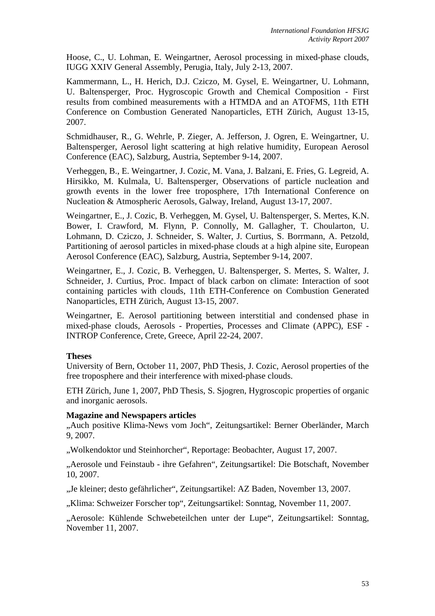Hoose, C., U. Lohman, E. Weingartner, Aerosol processing in mixed-phase clouds, IUGG XXIV General Assembly, Perugia, Italy, July 2-13, 2007.

Kammermann, L., H. Herich, D.J. Cziczo, M. Gysel, E. Weingartner, U. Lohmann, U. Baltensperger, Proc. Hygroscopic Growth and Chemical Composition - First results from combined measurements with a HTMDA and an ATOFMS, 11th ETH Conference on Combustion Generated Nanoparticles, ETH Zürich, August 13-15, 2007.

Schmidhauser, R., G. Wehrle, P. Zieger, A. Jefferson, J. Ogren, E. Weingartner, U. Baltensperger, Aerosol light scattering at high relative humidity, European Aerosol Conference (EAC), Salzburg, Austria, September 9-14, 2007.

Verheggen, B., E. Weingartner, J. Cozic, M. Vana, J. Balzani, E. Fries, G. Legreid, A. Hirsikko, M. Kulmala, U. Baltensperger, Observations of particle nucleation and growth events in the lower free troposphere, 17th International Conference on Nucleation & Atmospheric Aerosols, Galway, Ireland, August 13-17, 2007.

Weingartner, E., J. Cozic, B. Verheggen, M. Gysel, U. Baltensperger, S. Mertes, K.N. Bower, I. Crawford, M. Flynn, P. Connolly, M. Gallagher, T. Choularton, U. Lohmann, D. Cziczo, J. Schneider, S. Walter, J. Curtius, S. Borrmann, A. Petzold, Partitioning of aerosol particles in mixed-phase clouds at a high alpine site, European Aerosol Conference (EAC), Salzburg, Austria, September 9-14, 2007.

Weingartner, E., J. Cozic, B. Verheggen, U. Baltensperger, S. Mertes, S. Walter, J. Schneider, J. Curtius, Proc. Impact of black carbon on climate: Interaction of soot containing particles with clouds, 11th ETH-Conference on Combustion Generated Nanoparticles, ETH Zürich, August 13-15, 2007.

Weingartner, E. Aerosol partitioning between interstitial and condensed phase in mixed-phase clouds, Aerosols - Properties, Processes and Climate (APPC), ESF - INTROP Conference, Crete, Greece, April 22-24, 2007.

# **Theses**

University of Bern, October 11, 2007, PhD Thesis, J. Cozic, Aerosol properties of the free troposphere and their interference with mixed-phase clouds.

ETH Zürich, June 1, 2007, PhD Thesis, S. Sjogren, Hygroscopic properties of organic and inorganic aerosols.

# **Magazine and Newspapers articles**

"Auch positive Klima-News vom Joch", Zeitungsartikel: Berner Oberländer, March 9, 2007.

"Wolkendoktor und Steinhorcher", Reportage: Beobachter, August 17, 2007.

"Aerosole und Feinstaub - ihre Gefahren", Zeitungsartikel: Die Botschaft, November 10, 2007.

"Je kleiner; desto gefährlicher", Zeitungsartikel: AZ Baden, November 13, 2007.

"Klima: Schweizer Forscher top", Zeitungsartikel: Sonntag, November 11, 2007.

"Aerosole: Kühlende Schwebeteilchen unter der Lupe", Zeitungsartikel: Sonntag, November 11, 2007.